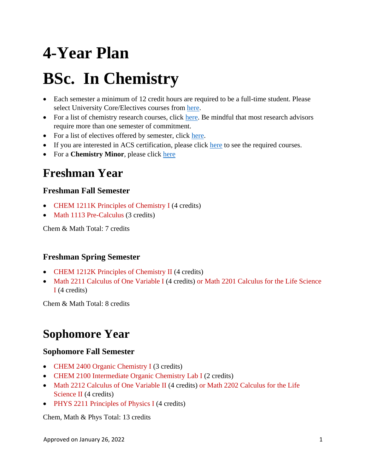# **4-Year Plan**

# **BSc. In Chemistry**

- Each semester a minimum of 12 credit hours are required to be a full-time student. Please select University Core/Electives courses from [here.](https://catalogs.gsu.edu/preview_program.php?catoid=4&poid=888)
- For a list of chemistry research courses, click [here.](#page-2-0) Be mindful that most research advisors require more than one semester of commitment.
- For a list of electives offered by semester, click [here.](#page-3-0)
- If you are interested in ACS certification, please click [here](#page-4-0) to see the required courses.
- For a **Chemistry Minor**, please click [here](https://catalogs.gsu.edu/preview_program.php?catoid=4&poid=1152)

## **Freshman Year**

#### **Freshman Fall Semester**

- CHEM 1211K Principles of Chemistry I (4 credits)
- Math 1113 Pre-Calculus (3 credits)

Chem & Math Total: 7 credits

#### **Freshman Spring Semester**

- CHEM 1212K Principles of Chemistry II (4 credits)
- Math 2211 Calculus of One Variable I (4 credits) or Math 2201 Calculus for the Life Science I (4 credits)

Chem & Math Total: 8 credits

# **Sophomore Year**

#### **Sophomore Fall Semester**

- CHEM 2400 Organic Chemistry I (3 credits)
- CHEM 2100 Intermediate Organic Chemistry Lab I (2 credits)
- Math 2212 Calculus of One Variable II (4 credits) or Math 2202 Calculus for the Life Science II (4 credits)
- PHYS 2211 Principles of Physics I (4 credits)

Chem, Math & Phys Total: 13 credits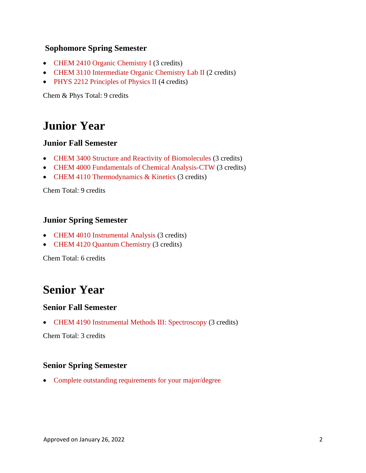#### **Sophomore Spring Semester**

- CHEM 2410 Organic Chemistry I (3 credits)
- CHEM 3110 Intermediate Organic Chemistry Lab II (2 credits)
- PHYS 2212 Principles of Physics II (4 credits)

Chem & Phys Total: 9 credits

## **Junior Year**

#### **Junior Fall Semester**

- CHEM 3400 Structure and Reactivity of Biomolecules (3 credits)
- CHEM 4000 Fundamentals of Chemical Analysis-CTW (3 credits)
- CHEM 4110 Thermodynamics & Kinetics (3 credits)

Chem Total: 9 credits

#### **Junior Spring Semester**

- CHEM 4010 Instrumental Analysis (3 credits)
- CHEM 4120 Quantum Chemistry (3 credits)

Chem Total: 6 credits

## **Senior Year**

#### **Senior Fall Semester**

• CHEM 4190 Instrumental Methods III: Spectroscopy (3 credits)

Chem Total: 3 credits

#### **Senior Spring Semester**

• Complete outstanding requirements for your major/degree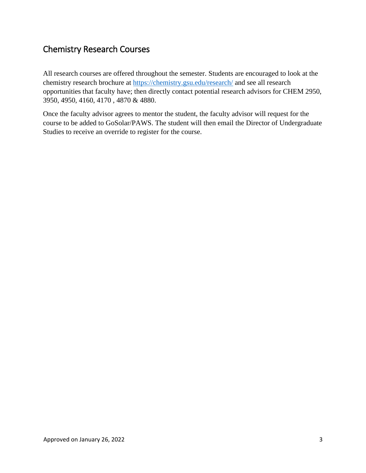### <span id="page-2-0"></span>Chemistry Research Courses

All research courses are offered throughout the semester. Students are encouraged to look at the chemistry research brochure at [https://chemistry.gsu.edu/research/](https://nam11.safelinks.protection.outlook.com/?url=https%3A%2F%2Fchemistry.gsu.edu%2Fresearch%2F&data=04%7C01%7Cjmutanyattacomar%40gsu.edu%7C89a2f0ffa19a4e87ea9608d994a8d6ba%7C515ad73d8d5e4169895c9789dc742a70%7C0%7C0%7C637704275164014981%7CUnknown%7CTWFpbGZsb3d8eyJWIjoiMC4wLjAwMDAiLCJQIjoiV2luMzIiLCJBTiI6Ik1haWwiLCJXVCI6Mn0%3D%7C1000&sdata=EDhl2slrZAnPN8%2Fz%2BsHYUyRfI8F2TyAqp0qt5xeGh1o%3D&reserved=0) and see all research opportunities that faculty have; then directly contact potential research advisors for CHEM 2950, 3950, 4950, 4160, 4170 , 4870 & 4880.

Once the faculty advisor agrees to mentor the student, the faculty advisor will request for the course to be added to GoSolar/PAWS. The student will then email the Director of Undergraduate Studies to receive an override to register for the course.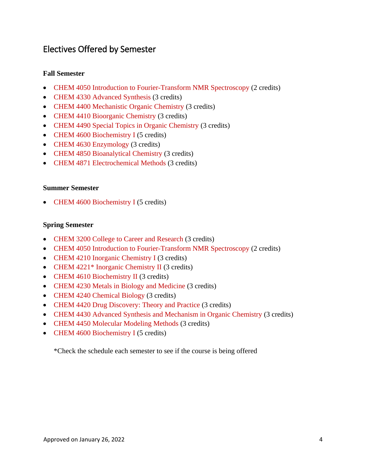### <span id="page-3-0"></span>Electives Offered by Semester

#### **Fall Semester**

- CHEM 4050 Introduction to Fourier-Transform NMR Spectroscopy (2 credits)
- CHEM 4330 Advanced Synthesis (3 credits)
- CHEM 4400 Mechanistic Organic Chemistry (3 credits)
- CHEM 4410 Bioorganic Chemistry (3 credits)
- CHEM 4490 Special Topics in Organic Chemistry (3 credits)
- CHEM 4600 Biochemistry I (5 credits)
- CHEM 4630 Enzymology (3 credits)
- CHEM 4850 Bioanalytical Chemistry (3 credits)
- CHEM 4871 Electrochemical Methods (3 credits)

#### **Summer Semester**

• CHEM 4600 Biochemistry I (5 credits)

#### **Spring Semester**

- CHEM 3200 College to Career and Research (3 credits)
- CHEM 4050 Introduction to Fourier-Transform NMR Spectroscopy (2 credits)
- CHEM 4210 Inorganic Chemistry I (3 credits)
- CHEM 4221<sup>\*</sup> Inorganic Chemistry II (3 credits)
- CHEM 4610 Biochemistry II (3 credits)
- CHEM 4230 Metals in Biology and Medicine (3 credits)
- CHEM 4240 Chemical Biology (3 credits)
- CHEM 4420 Drug Discovery: Theory and Practice (3 credits)
- CHEM 4430 Advanced Synthesis and Mechanism in Organic Chemistry (3 credits)
- CHEM 4450 Molecular Modeling Methods (3 credits)
- CHEM 4600 Biochemistry I (5 credits)

\*Check the schedule each semester to see if the course is being offered